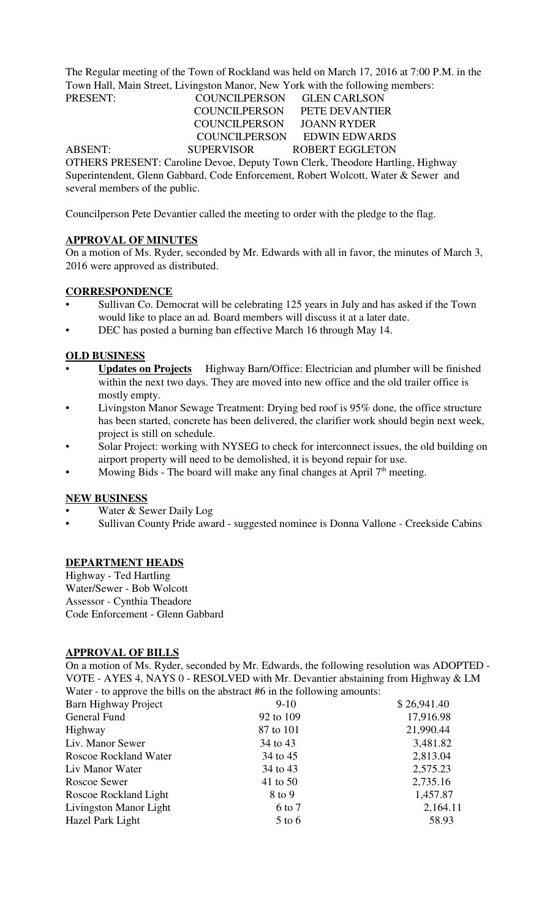The Regular meeting of the Town of Rockland was held on March 17, 2016 at 7:00 P.M. in the Town Hall, Main Street, Livingston Manor, New York with the following members:

| PRESENT: | COUNCILPERSON GLEN CARLSON |                                                                               |  |
|----------|----------------------------|-------------------------------------------------------------------------------|--|
|          | <b>COUNCILPERSON</b>       | PETE DEVANTIER                                                                |  |
|          | COUNCILPERSON JOANN RYDER  |                                                                               |  |
|          |                            | COUNCILPERSON EDWIN EDWARDS                                                   |  |
| ABSENT:  |                            | SUPERVISOR ROBERT EGGLETON                                                    |  |
|          |                            | OTHERS PRESENT: Caroline Devoe, Deputy Town Clerk, Theodore Hartling, Highway |  |

Superintendent, Glenn Gabbard, Code Enforcement, Robert Wolcott, Water & Sewer and several members of the public.

Councilperson Pete Devantier called the meeting to order with the pledge to the flag.

## **APPROVAL OF MINUTES**

On a motion of Ms. Ryder, seconded by Mr. Edwards with all in favor, the minutes of March 3, 2016 were approved as distributed.

## **CORRESPONDENCE**

- Sullivan Co. Democrat will be celebrating 125 years in July and has asked if the Town would like to place an ad. Board members will discuss it at a later date.
- DEC has posted a burning ban effective March 16 through May 14.

## **OLD BUSINESS**

- **Updates on Projects** Highway Barn/Office: Electrician and plumber will be finished within the next two days. They are moved into new office and the old trailer office is mostly empty.
- Livingston Manor Sewage Treatment: Drying bed roof is 95% done, the office structure has been started, concrete has been delivered, the clarifier work should begin next week, project is still on schedule.
- Solar Project: working with NYSEG to check for interconnect issues, the old building on airport property will need to be demolished, it is beyond repair for use.
- Mowing Bids The board will make any final changes at April  $7<sup>th</sup>$  meeting.

## **NEW BUSINESS**

- Water & Sewer Daily Log
- Sullivan County Pride award suggested nominee is Donna Vallone Creekside Cabins

## **DEPARTMENT HEADS**

Highway - Ted Hartling Water/Sewer - Bob Wolcott Assessor - Cynthia Theadore Code Enforcement - Glenn Gabbard

## **APPROVAL OF BILLS**

On a motion of Ms. Ryder, seconded by Mr. Edwards, the following resolution was ADOPTED - VOTE - AYES 4, NAYS 0 - RESOLVED with Mr. Devantier abstaining from Highway & LM Water - to approve the bills on the abstract #6 in the following amounts:

| Barn Highway Project   | $9-10$    | \$26,941.40 |
|------------------------|-----------|-------------|
| General Fund           | 92 to 109 | 17,916.98   |
| Highway                | 87 to 101 | 21,990.44   |
| Liv. Manor Sewer       | 34 to 43  | 3,481.82    |
| Roscoe Rockland Water  | 34 to 45  | 2,813.04    |
| Liv Manor Water        | 34 to 43  | 2,575.23    |
| Roscoe Sewer           | 41 to 50  | 2,735.16    |
| Roscoe Rockland Light  | 8 to 9    | 1,457.87    |
| Livingston Manor Light | 6 to 7    | 2,164.11    |
| Hazel Park Light       | $5$ to 6  | 58.93       |